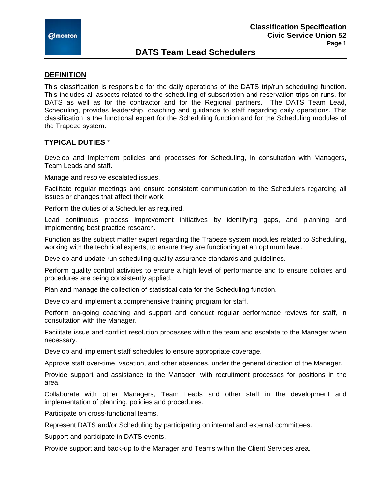

# **DATS Team Lead Schedulers**

### **DEFINITION**

This classification is responsible for the daily operations of the DATS trip/run scheduling function. This includes all aspects related to the scheduling of subscription and reservation trips on runs, for DATS as well as for the contractor and for the Regional partners. The DATS Team Lead, Scheduling, provides leadership, coaching and guidance to staff regarding daily operations. This classification is the functional expert for the Scheduling function and for the Scheduling modules of the Trapeze system.

## **TYPICAL DUTIES** \*

Develop and implement policies and processes for Scheduling, in consultation with Managers, Team Leads and staff.

Manage and resolve escalated issues.

Facilitate regular meetings and ensure consistent communication to the Schedulers regarding all issues or changes that affect their work.

Perform the duties of a Scheduler as required.

Lead continuous process improvement initiatives by identifying gaps, and planning and implementing best practice research.

Function as the subject matter expert regarding the Trapeze system modules related to Scheduling, working with the technical experts, to ensure they are functioning at an optimum level.

Develop and update run scheduling quality assurance standards and guidelines.

Perform quality control activities to ensure a high level of performance and to ensure policies and procedures are being consistently applied.

Plan and manage the collection of statistical data for the Scheduling function.

Develop and implement a comprehensive training program for staff.

Perform on-going coaching and support and conduct regular performance reviews for staff, in consultation with the Manager.

Facilitate issue and conflict resolution processes within the team and escalate to the Manager when necessary.

Develop and implement staff schedules to ensure appropriate coverage.

Approve staff over-time, vacation, and other absences, under the general direction of the Manager.

Provide support and assistance to the Manager, with recruitment processes for positions in the area.

Collaborate with other Managers, Team Leads and other staff in the development and implementation of planning, policies and procedures.

Participate on cross-functional teams.

Represent DATS and/or Scheduling by participating on internal and external committees.

Support and participate in DATS events.

Provide support and back-up to the Manager and Teams within the Client Services area.